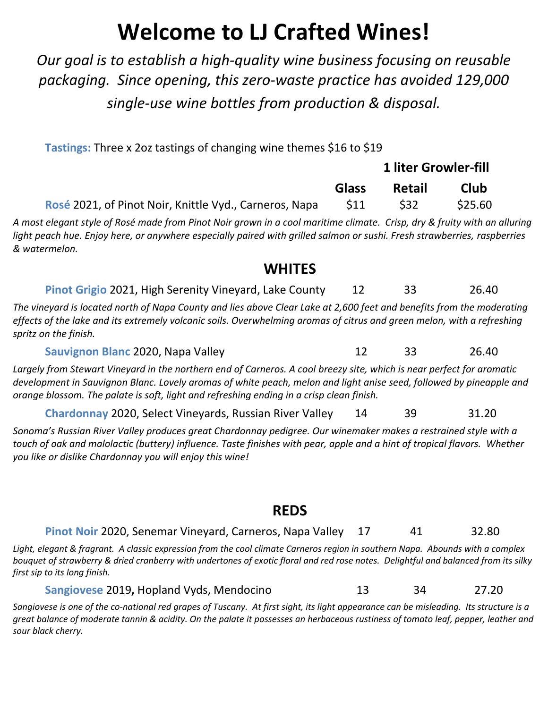# **Welcome to LJ Crafted Wines!**

*Our goal is to establish a high-quality wine business focusing on reusable packaging. Since opening, this zero-waste practice has avoided 129,000 single-use wine bottles from production & disposal.*

**Tastings:** Three x 2oz tastings of changing wine themes \$16 to \$19

| <b>Pastings.</b> Three A 202 tastings or changing wine themes y 10 to y 15                                                                                                                                                                                                                                                               |                             |               |         |  |
|------------------------------------------------------------------------------------------------------------------------------------------------------------------------------------------------------------------------------------------------------------------------------------------------------------------------------------------|-----------------------------|---------------|---------|--|
|                                                                                                                                                                                                                                                                                                                                          | <b>1 liter Growler-fill</b> |               |         |  |
|                                                                                                                                                                                                                                                                                                                                          | <b>Glass</b>                | <b>Retail</b> | Club    |  |
| Rosé 2021, of Pinot Noir, Knittle Vyd., Carneros, Napa                                                                                                                                                                                                                                                                                   | \$11                        | \$32          | \$25.60 |  |
| A most elegant style of Rosé made from Pinot Noir grown in a cool maritime climate.  Crisp, dry & fruity with an alluring<br>light peach hue. Enjoy here, or anywhere especially paired with grilled salmon or sushi. Fresh strawberries, raspberries<br>& watermelon.                                                                   |                             |               |         |  |
| <b>WHITES</b>                                                                                                                                                                                                                                                                                                                            |                             |               |         |  |
| Pinot Grigio 2021, High Serenity Vineyard, Lake County                                                                                                                                                                                                                                                                                   | 12                          | 33            | 26.40   |  |
| The vineyard is located north of Napa County and lies above Clear Lake at 2,600 feet and benefits from the moderating<br>effects of the lake and its extremely volcanic soils. Overwhelming aromas of citrus and green melon, with a refreshing<br>spritz on the finish.                                                                 |                             |               |         |  |
| Sauvignon Blanc 2020, Napa Valley                                                                                                                                                                                                                                                                                                        | 12                          | 33            | 26.40   |  |
| Largely from Stewart Vineyard in the northern end of Carneros. A cool breezy site, which is near perfect for aromatic<br>development in Sauvignon Blanc. Lovely aromas of white peach, melon and light anise seed, followed by pineapple and<br>orange blossom. The palate is soft, light and refreshing ending in a crisp clean finish. |                             |               |         |  |
| <b>Chardonnay 2020, Select Vineyards, Russian River Valley</b>                                                                                                                                                                                                                                                                           | 14                          | 39            | 31.20   |  |

*Sonoma's Russian River Valley produces great Chardonnay pedigree. Our winemaker makes a restrained style with a touch of oak and malolactic (buttery) influence. Taste finishes with pear, apple and a hint of tropical flavors. Whether you like or dislike Chardonnay you will enjoy this wine!*

#### **REDS**

#### **Pinot Noir** 2020, Senemar Vineyard, Carneros, Napa Valley 17 41 32.80

*Light, elegant & fragrant. A classic expression from the cool climate Carneros region in southern Napa. Abounds with a complex bouquet of strawberry & dried cranberry with undertones of exotic floral and red rose notes. Delightful and balanced from its silky first sip to its long finish.*

**Sangiovese** 2019, Hopland Vyds, Mendocino 13 34 27.20

*Sangiovese is one of the co-national red grapes of Tuscany. At first sight, its light appearance can be misleading. Its structure is a great balance of moderate tannin & acidity. On the palate it possesses an herbaceous rustiness of tomato leaf, pepper, leather and sour black cherry.*